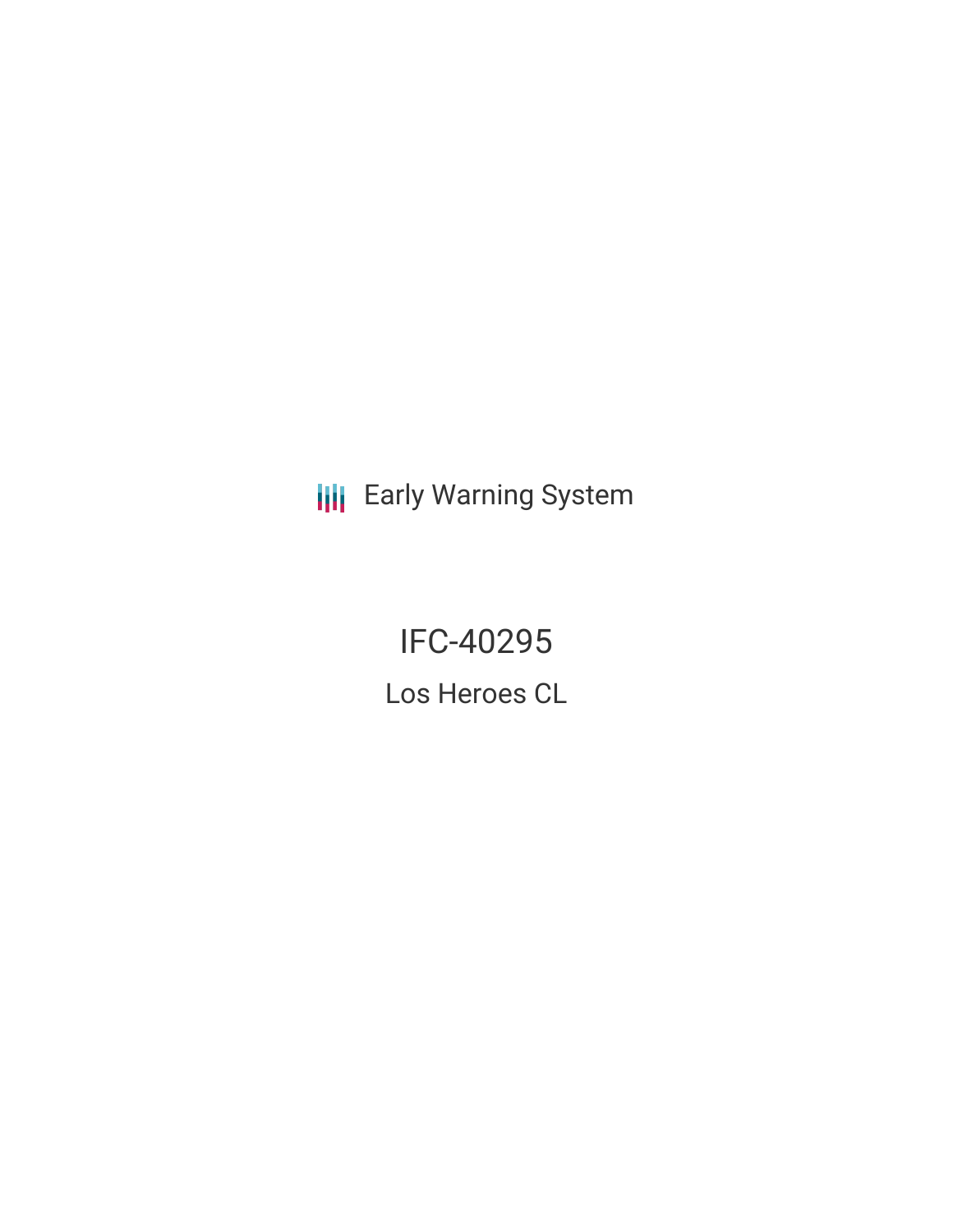**III** Early Warning System

**IFC-40295** Los Heroes CL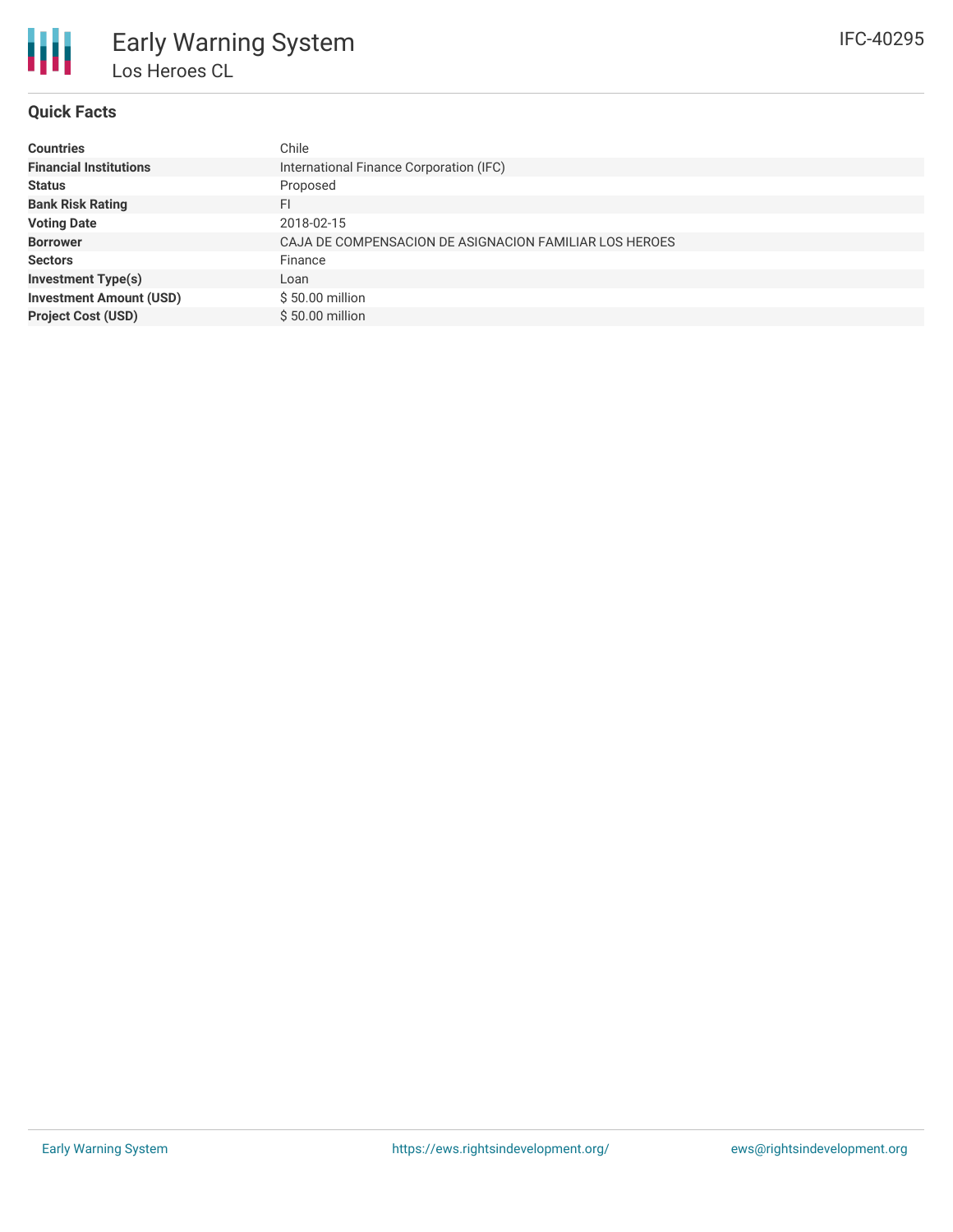

# **Quick Facts**

| <b>Countries</b>               | Chile                                                  |
|--------------------------------|--------------------------------------------------------|
| <b>Financial Institutions</b>  | International Finance Corporation (IFC)                |
| <b>Status</b>                  | Proposed                                               |
| <b>Bank Risk Rating</b>        | FI                                                     |
| <b>Voting Date</b>             | 2018-02-15                                             |
| <b>Borrower</b>                | CAJA DE COMPENSACION DE ASIGNACION FAMILIAR LOS HEROES |
| <b>Sectors</b>                 | Finance                                                |
| <b>Investment Type(s)</b>      | Loan                                                   |
| <b>Investment Amount (USD)</b> | \$50.00 million                                        |
| <b>Project Cost (USD)</b>      | \$50.00 million                                        |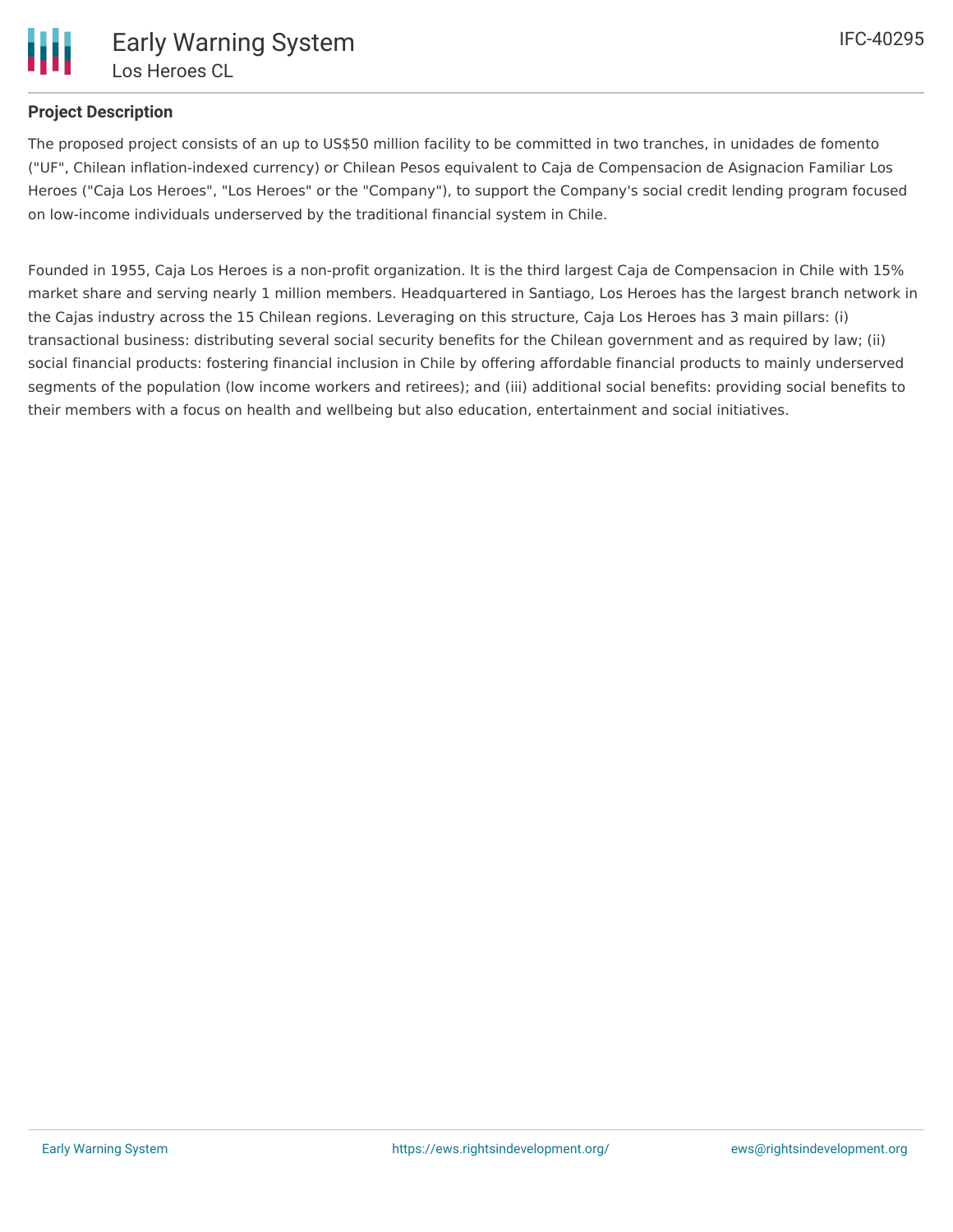

# **Project Description**

The proposed project consists of an up to US\$50 million facility to be committed in two tranches, in unidades de fomento ("UF", Chilean inflation-indexed currency) or Chilean Pesos equivalent to Caja de Compensacion de Asignacion Familiar Los Heroes ("Caja Los Heroes", "Los Heroes" or the "Company"), to support the Company's social credit lending program focused on low-income individuals underserved by the traditional financial system in Chile.

Founded in 1955, Caja Los Heroes is a non-profit organization. It is the third largest Caja de Compensacion in Chile with 15% market share and serving nearly 1 million members. Headquartered in Santiago, Los Heroes has the largest branch network in the Cajas industry across the 15 Chilean regions. Leveraging on this structure, Caja Los Heroes has 3 main pillars: (i) transactional business: distributing several social security benefits for the Chilean government and as required by law; (ii) social financial products: fostering financial inclusion in Chile by offering affordable financial products to mainly underserved segments of the population (low income workers and retirees); and (iii) additional social benefits: providing social benefits to their members with a focus on health and wellbeing but also education, entertainment and social initiatives.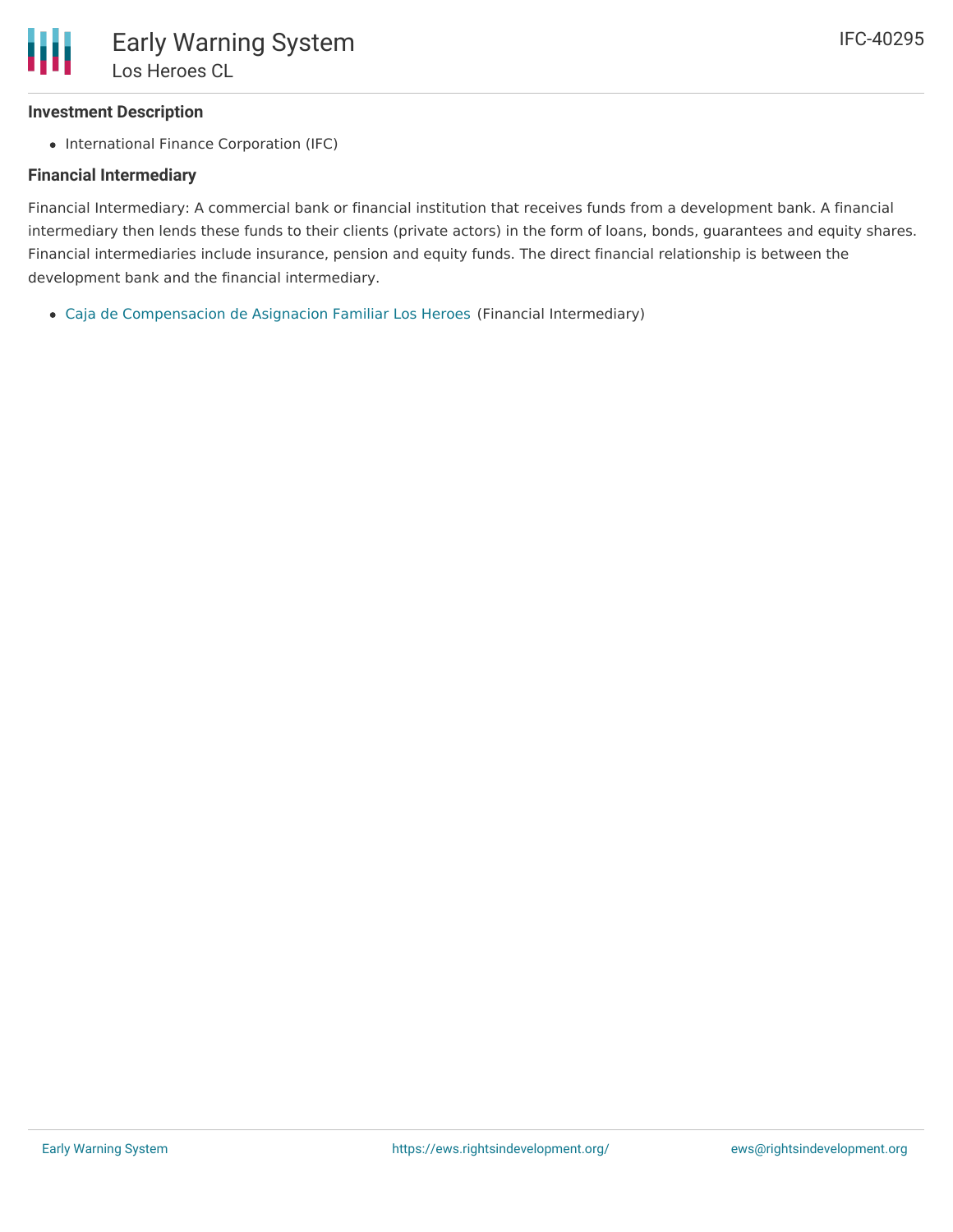## **Investment Description**

• International Finance Corporation (IFC)

### **Financial Intermediary**

Financial Intermediary: A commercial bank or financial institution that receives funds from a development bank. A financial intermediary then lends these funds to their clients (private actors) in the form of loans, bonds, guarantees and equity shares. Financial intermediaries include insurance, pension and equity funds. The direct financial relationship is between the development bank and the financial intermediary.

Caja de [Compensacion](file:///actor/228/) de Asignacion Familiar Los Heroes (Financial Intermediary)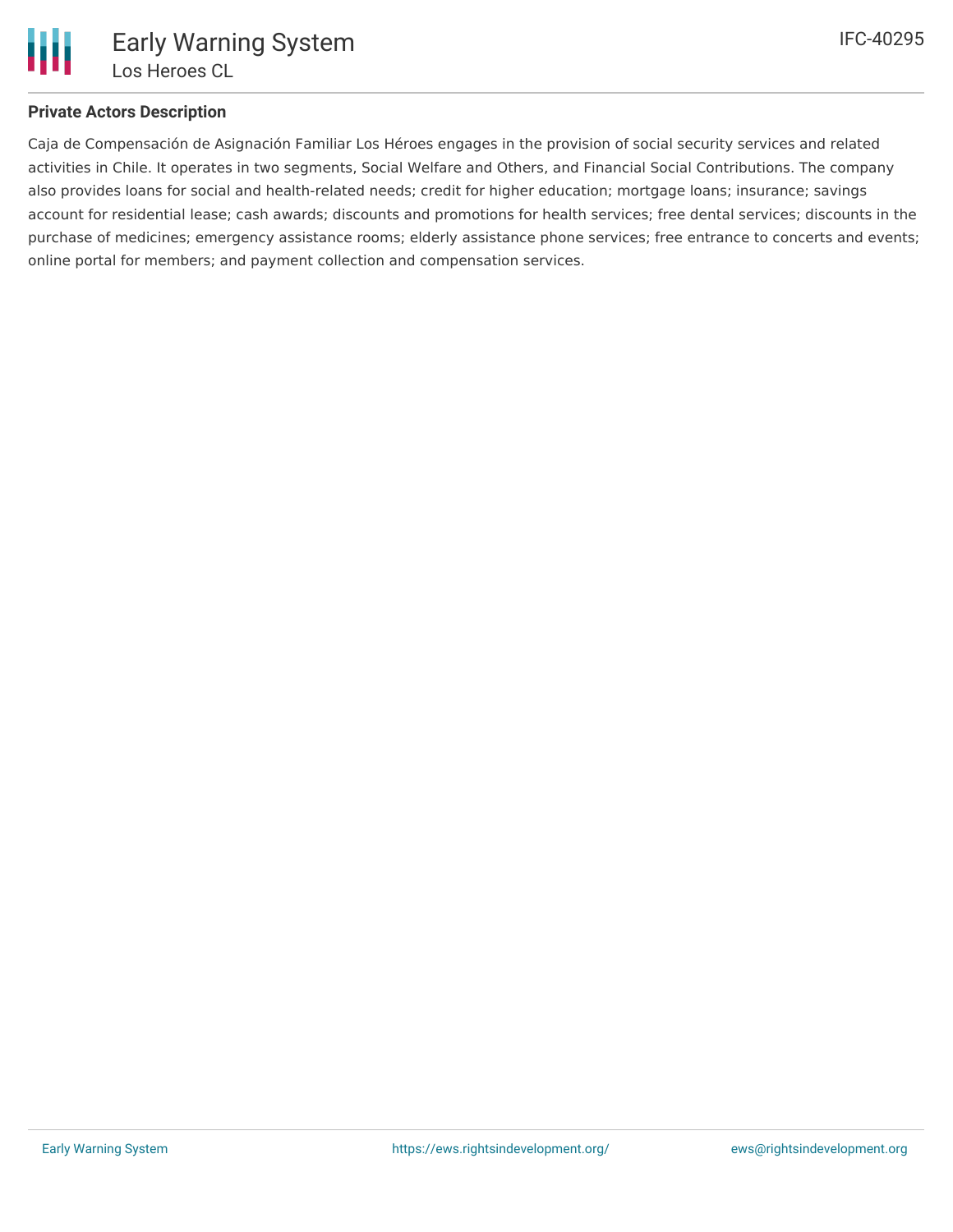

## **Private Actors Description**

Caja de Compensación de Asignación Familiar Los Héroes engages in the provision of social security services and related activities in Chile. It operates in two segments, Social Welfare and Others, and Financial Social Contributions. The company also provides loans for social and health-related needs; credit for higher education; mortgage loans; insurance; savings account for residential lease; cash awards; discounts and promotions for health services; free dental services; discounts in the purchase of medicines; emergency assistance rooms; elderly assistance phone services; free entrance to concerts and events; online portal for members; and payment collection and compensation services.